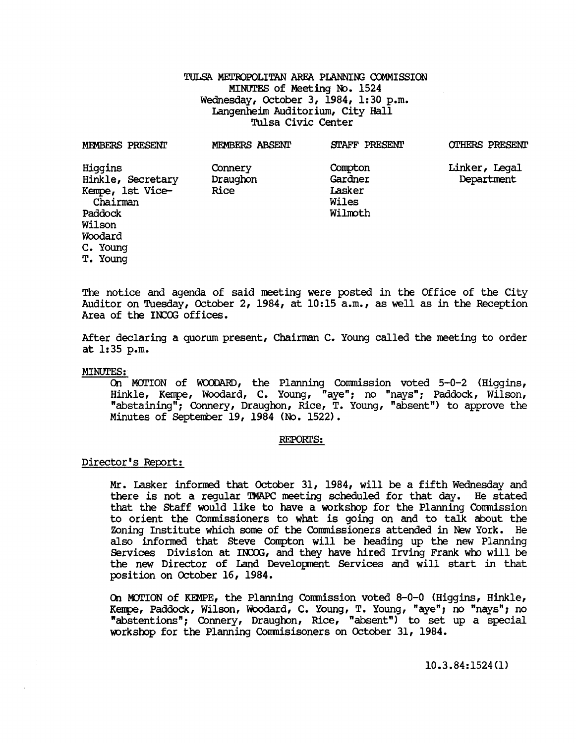# TULSA METROPOLITAN AREA PIANNING COMMISSION MINUTES of Meeting No. 1524 Wednesday, October 3, 1984, 1: 30 p.m. Langenheim Auditorium, City Hall Tulsa Civic Center

| MEMBERS PRESENT                                                         | MEMBERS ABSENT              | STAFF PRESENT                                    | <b>OTHERS PRESENT</b>       |
|-------------------------------------------------------------------------|-----------------------------|--------------------------------------------------|-----------------------------|
| Higgins<br>Hinkle, Secretary<br>Kempe, 1st Vice-<br>Chairman<br>Paddock | Connery<br>Draughon<br>Rice | Compton<br>Gardner<br>Lasker<br>Wiles<br>Wilmoth | Linker, Legal<br>Department |
| Wilson                                                                  |                             |                                                  |                             |
| Woodard                                                                 |                             |                                                  |                             |
| C. Young                                                                |                             |                                                  |                             |
| T. Young                                                                |                             |                                                  |                             |

The notice and agenda of said meeting were posted in the Office of the City Auditor on Tuesday, October 2, 1984, at 10:15 a.m., as well as in the Reception Area of the INCOG offices.

After declaring a quorum present, Chairman C. Young called the meeting to order at 1:35 p.m.

### MINUTES:

On MOTION of WOODARD, the Planning Commission voted 5-0-2 (Higgins, Hinkle, Kerrpe, Woodard, C. Young, "aye"; no "nays"; Paddock, Wilson, "abstaining"; Connery, Draughon, Rice, T. Young, "absent") to approve the Minutes of September 19, 1984 (No. 1522).

#### REPORI'S:

# Director's Report:

Mr. Lasker informed that October 31, 1984, will be a fifth Wednesday and there is not a regular TMAPC meeting scheduled for that day. He stated that the Staff would like to have a workshop for the Planning Commission to orient the Commissioners to what is going on and to talk about the Zoning Institute which some of the Commissioners attended in New York. He also informed that Steve Compton will be heading up the new Planning Services Division at INCOG, and they have hired Irving Frank who will be the new Director of Land Development Services and will start in that position on October 16, 1984.

On MOTION of KEMPE, the Planning Commission voted 8-0-0 (Higgins, Hinkle, Keupe, Paddock, Wilson, Woodard, C. Young, T. Young, "aye"; no "nays"; no "abstentions"; Connery, Draughon, Rice, "absent") to set up a special workshop for the Planning Commisisoners on October 31, 1984.

# 10.3.84:1524(1)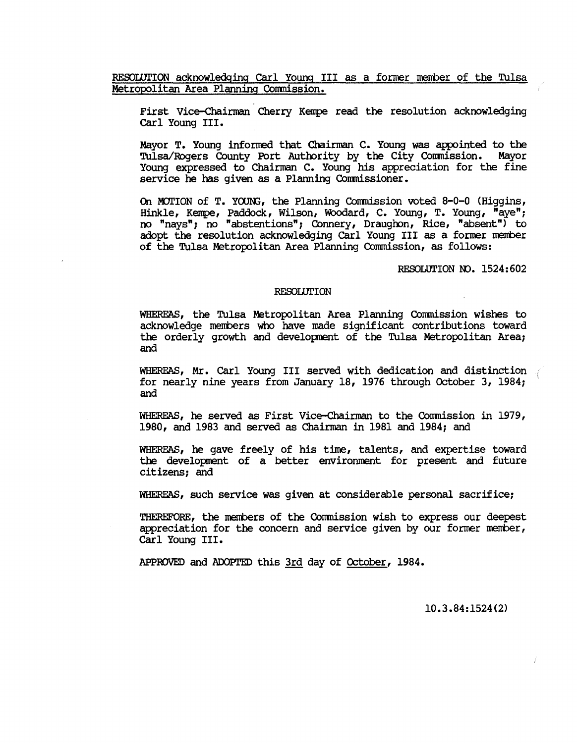RESOLUTION acknowledging Carl Young III as a former member of the Tulsa Metropolitan Area Planning Commission.

First Vice-Chairman Cherry Kenpe read the resolution acknowledging carl Young III.

Mayor T. Young informed that Chairman C. Young was appointed to the<br>Tulsa/Rogers County Port Authority by the City Commission. Mayor Tulsa/Rogers County Port Authority by the City Commission. Young expressed to Chairman C. Young his appreciation for the fine service he has given as a Planning Commissioner.

On MOTION of T. YOUNG, the Planning Commission voted 8-0-0 (Higgins, Hinkle, Kerrpe, Paddock, Wilson, Woodard, C. Young, T. Young, "aye"; no "nays"; no "abstentions"; Connery, Draughon, Rice, "absent") to adopt the resolution acknowledging carl Young III as a former nerrber of the Tulsa Metropolitan Area Planning Commission, as follows:

RESOLUTION NO. 1524:602

### **RESOLUTION**

WHERFAS, the Tulsa Metropolitan Area Planning Commission wishes to acknowledge merrbers who have made significant contributions toward the orderly growth and development of the Tulsa Metropolitan Area; and

WHEREAS, Mr. Carl Young III served with dedication and distinction  $\ell$ for nearly nine years from January 18, 1976 through October 3, 1984; and

WHERFAS, he served as First Vice-Chairman to the Commission in 1979, 1980, and 1983 and served as Chairman in 1981 and 1984; and

WHERFAS, he gave freely of his time, talents, and expertise toward the development of a better environment for present and future citizens; and

WHERFAS, such service was given at considerable personal sacrifice;

THEREFORE, the merrbers of the Commission wish to express our deepest appreciation for the concern and service given by our former member, carl Young III.

APPROVED and ADOPTED this 3rd day of October, 1984.

10.3.84:1524(2)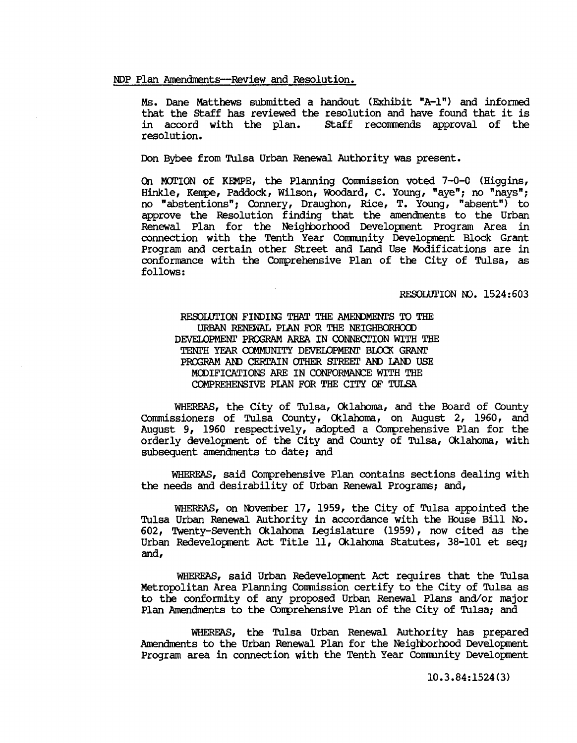## NDP Plan Amendments--Review and Resolution.

Ms. Dane Matthews submitted a handout (Exhibit "A-I") and informed that the Staff has reviewed the resolution and have found that it is<br>in accord with the plan. Staff recommends approval of the Staff recommends approval of the resolution.

Don Bybee from Tulsa Urban Renewal Authority was present.

On MOTION of KEMPE, the Planning Commission voted  $7-0-0$  (Higgins, Hinkle, Kempe, Paddock, Wilson, Woodard, C. Young, "aye"; no "nays"; no "abstentions"; Connery, Draughon, Rice, T. Young, "absent") to approve the Resolution finding that the amendments to the Urban Renewal Plan for the Neighborhood Development Program Area in connection with the Tenth Year Community Development Block Grant Program and certain other street and Land Use Modifications are in conformance with the Comprehensive Plan of the City of Tulsa, as follows:

RESOLUTION NO. 1524:603

RESOLUTION FINDING THAT THE AMENDMENTS TO THE URBAN RENEWAL PIAN FOR THE NEIGHBORHCXD DEVELOPMENT PROGRAM AREA IN CONNECTION WITH THE TENTH YEAR COMMUNITY DEVELOPMENT BLOCK GRANT PROGRAM AND CERTAIN OTHER STREET AND LAND USE MODIFICATIONS ARE IN CONFORMANCE WITH THE COMPREHENSIVE PIAN FOR THE CITY OF TULSA

WHEREAS, the City of Tulsa, Oklahoma, and the Board of County Commissioners of Tulsa County, Cklamma, on August 2, 1960, and August 9, 1960 respectively, adopted a Conprehensive Plan for the orderly development of the City and County of Tulsa, Oklahoma, with subsequent amendments to date; and

WHEREAS, said Comprehensive Plan contains sections dealing with the needs and desirability of Urban Renewal Programs; and,

WHEREAS, on November 17, 1959, the City of Tulsa appointed the Tulsa Urban Renewal Authority in accordance with the House Bill No. 602, Twenty-seventh Cklamma Legislature (1959), now cited as the Urban Redevelopment Act Title 11, Oklahoma Statutes, 38-101 et seq; and,

WHEREAS, said Urban Redevelopment Act requires that the Tulsa Metropolitan Area Planning Commission certify to the City of Tulsa as to the conformity of any proposed Urban Renewal Plans and/or major Plan Amendments to the Conprehensive Plan of the City of Tulsa; and

WHEREAS, the Tulsa Urban Renewal Authority has prepared Amendments to the Urban Renewal Plan for the Neighborhood Development Program area in connection with the Tenth Year Community Development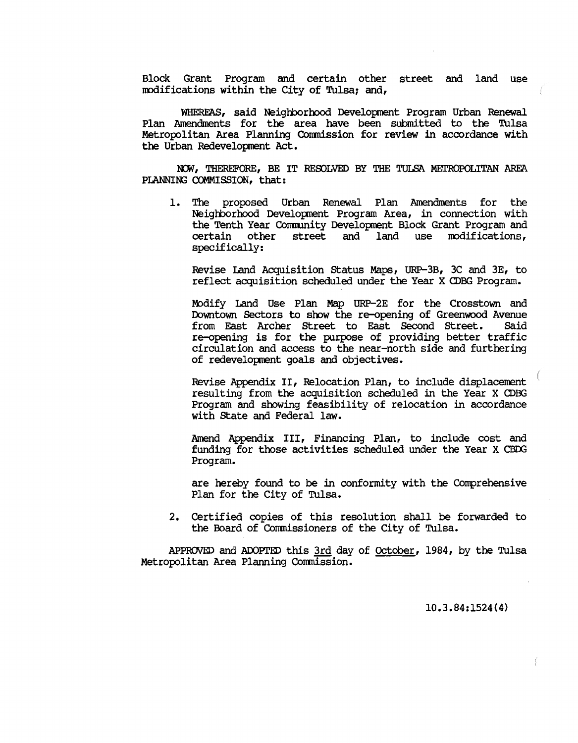Block Grant Program and certain other street and land use modifications within the City of Tulsa; and,

WHEREAS, said Neighborhood Development Program Urban Renewal Plan Amendments for the area have been submitted to the Tulsa Metropolitan Area Planning Commission for review in accordance with the Urban Redevelopment Act.

NOW, THEREFORE, BE IT RESOLVED BY THE TULSA METROPOLITAN AREA PIANNING COMMISSION, that:

1. The proposed Urban Renewal Plan Amendments for the Neighborhood Development Program Area, in connection with the Tenth Year Cormunity Development Block Grant Program and modifications, specifically:

Revise Land Acquisition Status Maps, URP-3B, 3C and 3E, to reflect acquisition scheduled under the Year X CDBG Program.

Modify Land Use Plan Map URP-2E for the Crosstown and Downtown Sectors to show the re-opening of Greenwood Avenue from East Archer street to East Second street. Said re-opening is for the purpose of providing better traffic circulation and access to the near-north side and furthering of redevelopment goals and objectives.

Revise Appendix II, Relocation Plan, to include displacenent resulting from the acquisition scheduled in the Year X CDBG Program and showing feasibility of relocation in accordance with State and Federal law.

Amend Appendix III, Financing Plan, to include cost and funding for those activities scheduled under the Year X CBDG Program.

are hereby found to be in conformity with the Comprehensive Plan for the City of Tulsa.

2. Certified copies of this resolution shall be forwarded to the Board of Commissioners of the City of Tulsa.

APPROVED and ADOPTED this 3rd day of  $October$ , 1984, by the Tulsa Metropolitan Area Planning Commission.

10.3.84:1524(4)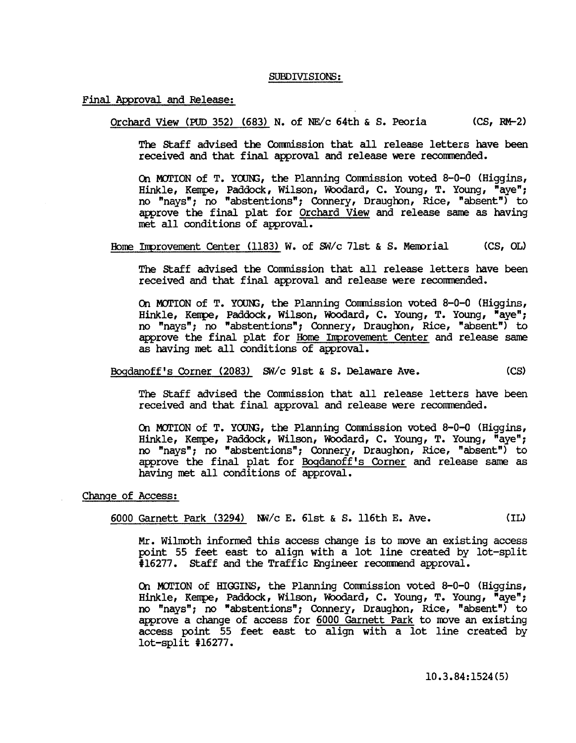### SUBDIVISIONS:

### Final Approval and Release:

Orchard View (PUD 352) (683) N. of NE $\sqrt{c}$  64th & S. Peoria (CS, RM-2)

The staff advised the Conmission that all release letters have been received and that final approval and release were reconmended.

On MOTION of T. YOUNG, the Planning Commission voted 8-0-0 (Higgins, Hinkle, Kempe, Paddock, Wilson, Woodard, C. Young, T. Young, "aye"; no "nays"; no "abstentions"; Connery, Draughon, Rice, "absent") to approve the final plat for Orchard View and release same as having met all conditions of approval.

Home Improvement Center (1183) W. of  $S\bar{w}/c$  71st & S. Memorial (CS, OL)

The staff advised the Commission that all release letters have been received and that final approval and release were reconmended.

On MOTION of T. YOUNG, the Planning Commission voted 8-0-0 (Higgins, Hinkle, Kempe, Paddock, Wilson, Woodard, C. Young, T. Young, "aye"; no "nays"; no "abstentions"; Connery, Draughon, Rice, "absent") to approve the final plat for Home Improvement Center and release same as having met all conditions of approval.

Bogdanoff's Corner (2083) SW/c 91st & S. Delaware Ave. (CS)

The staff advised the Commission that all release letters have been received and that final approval and release were reconmended.

Q1 MJrION of T. YOON3, the Planning Conmission voted 8-0-0 (Higgins, Hinkle, Kempe, Paddock, Wilson, Woodard, C. Young, T. Young, "aye"; no "nays"; no "abstentions"; Connery, Draughon, Rice, "absent") to approve the final plat for Bogdanoff's Comer and release same as having met all conditions of approval.

### Change of Access:

6000 Garnett Park (3294) NW/c E. 6lst & S. l16th E. Ave. (IL)

Mr. WilIroth informed this access change is to rove an existing access point 55 feet east to align with a lot line created by lot-split #16277. Staff and the Traffic Engineer recommend approval.

Q1 MJrION of HIGGINS, the Planning Conmission voted 8-0-0 (Higgins, Hinkle, Kempe, Paddock, Wilson, Woodard, C. Young, T. Young, "aye"; no "nays"; no "abstentions"; Connery, Draughon, Rice, "absent") to approve a change of access for 6000 Garnett Park to move an existing access point 55 feet east to align with a lot line created by  $lot-split$   $#16277.$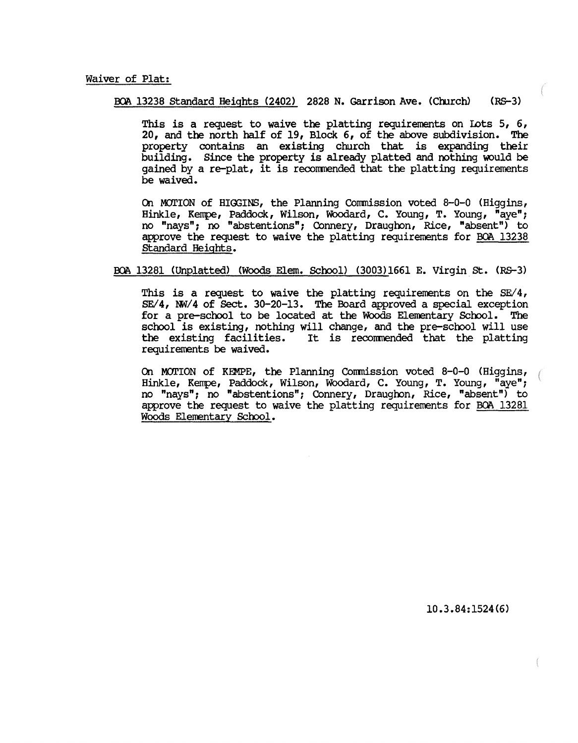# Waiver of Plat:

BOA 13238 Standard Heights (2402) 2828 N. Garrison Ave. (Church) (RS-3)

This is a request to waive the platting requirements on Lots  $5, 6,$ 20, and the north half of 19, Block 6, of the above subdivision. The property contains an existing church that is expanding their building. Since the property is already platted and nothing would be gained by a re-plat, it is recommended that the platting requirements be waived.

On MOI'ION of HIOOINS, the Planning Commission voted 8-0-0 (Higgins, Hinkle, Kempe, Paddock, Wilson, Woodard, C. Young, T. Young, "aye"; no "nays"; no "abstentions"; Connery, Draughon, Rice, "absent") to approve the request to waive the platting requirements for BOA 13238 Standard Heights.

BOA 13281 (Unplatted) (Woods Elem. School) (3003)1661 E. Virgin St. (RS-3)

This is a request to waive the platting requirements on the  $SE/4$ ,  $SE/4$ ,  $NW/4$  of  $Sect.$  30-20-13. The Board approved a special exception for a pre-school to be located at the WOods Elementary School. The school is existing, nothing will change, and the pre-school will use<br>the existing facilities. It is recommended that the platting It is recommended that the platting requirements be waived.

On MOTION of KEMPE, the Planning Commission voted  $8-0-0$  (Higgins, Hinkle, Kempe, Paddock, Wilson, WOodard, C. Young, T. Young, "aye"; no "nays"; no "abstentions"; Connery, Draughon, Rice, "absent") to approve the request to waive the platting requirements for BOA 13281 Woods Elementary School.

10.3.84:1524(6)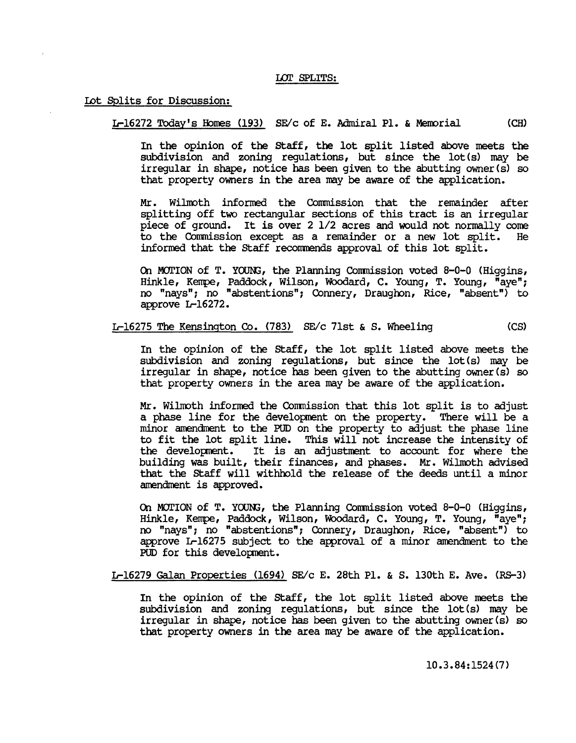### LOT SPLITS:

### Lot Splits for Discussion:

L-16272 Today's Homes (193) SE/c of E. Admiral Pl. & Memorial (CH)

In the opinion of the staff, the lot split listed above meets the subdivision and zoning regulations, but since the lot(s) may be irregular in shape, notice has been given to the abutting owner (s) so that property owners in the area may be aware of the application.

Mr. Wilmoth informed the Commission that the remainder after splitting off two rectangular sections of this tract is an irregular piece of ground. It is over 2 *1/2* acres and would not normally come to the Commission except as a remainder or a new lot split. informed that the staff recorrmends approval of this lot split.

On MOrION of T. YOOID, the Planning Conmission voted 8-0-0 (Higgins, Hinkle, Kempe, Paddock, Wilson, Woodard, C. Young, T. Young, "aye"; no "nays"; no "abstentions"; Connery, Draughon, Rice, "absent") to approve L-16272.

# L-16275 The Kensington Co. (783) SE/c 71st & S. Wheeling  $(CS)$

In the opinion of the staff, the lot split listed above meets the subdivision and zoning regulations, but since the lot(s) may be irregular in shape, notice has been given to the abutting owner (s) so that property owners in the area may be aware of the application.

Mr. Wilmoth informed the Commission that this lot split is to adjust a phase line for the development on the property. There will be a minor amendment to the PUD on the property to adjust the phase line to fit the lot split line. This will not increase the intensity of the development. It is an adjustment to account for where the It is an adjustment to account for where the building was built, their finances, and phases. Mr. Wilmoth advised that the Staff will withhold the release of the deeds until a minor amendment is approved.

On MOrION of T. YOOID, the Planning Conmission voted 8-0-0 (Higgins, Hinkle, Kempe, Paddock, Wilson, Woodard, C. Young, T. Young, "aye"; no "nays"; no "abstentions"; Connery, Draughon, Rice, "absent") to approve L-16275 subject to the approval of a minor amendment to the PUD for this development.

L-16279 Galan Properties (1694) SE/c E. 28th Pl. & S. l30th E. Ave. (RS-3)

In the opinion of the staff, the lot split listed above meets the subdivision and zoning regulations, but since the lot(s) may be irregular in shape, notice has been given to the abutting owner (s) so that property owners in the area may be aware of the application.

10.3.84: 1524 (7)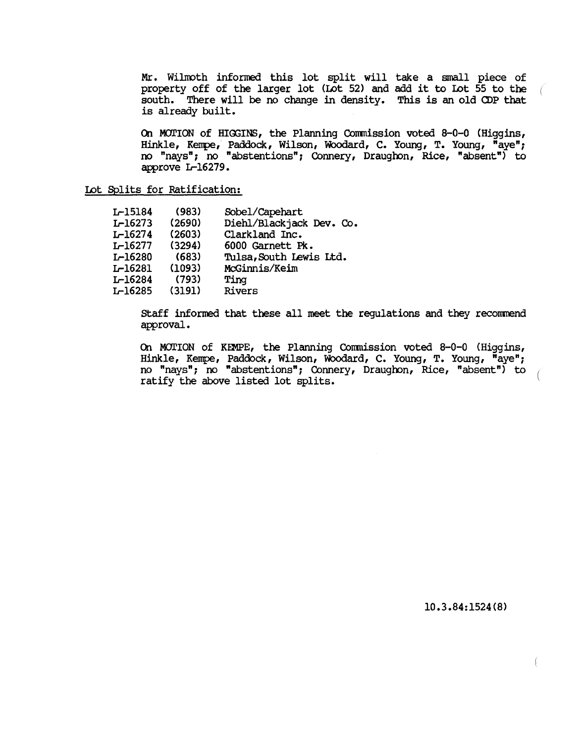Mr. Wilmoth informed this lot split will take a small piece of property off of the larger lot (Lot 52) and add it to Lot 55 to the south. There will be no change in density. This is an old <DP that is already built.

On MOTION of HIGGINS, the Planning Commission voted 8-0-0 (Higgins, Hinkle, Kenpe, Paddock, Wilson, WOOdard, C. Young, T. Young, "aye"; no "nays"; no "abstentions"; Connery, Draughon, Rice, "absent") to approve L-16279.

Lot Splits for Ratification:

| L-15184        | (983)  | Sobel/Capehart           |
|----------------|--------|--------------------------|
| L-16273        | (2690) | Diehl/Blackjack Dev. Co. |
| <b>L-16274</b> | (2603) | Clarkland Inc.           |
| <b>L-16277</b> | (3294) | 6000 Garnett Pk.         |
| L-16280        | (683)  | Tulsa, South Lewis Ltd.  |
| <b>L-16281</b> | (1093) | McGinnis/Keim            |
| <b>L-16284</b> | (793)  | Ting                     |
| <b>L-16285</b> | (3191) | Rivers                   |
|                |        |                          |

staff informed that these all meet the regulations and they recomrend approval.

On MOTION of KEMPE, the Planning Commission voted 8-0-0 (Higgins, Hinkle, Kenpe, Paddock, Wilson, WOOdard, C. Young, T. Young, "aye"; no "nays"; no "abstentions"; Connery, Draughon, Rice, "absent") to ratify the above listed lot splits.

10.3.84:1524(8)

- C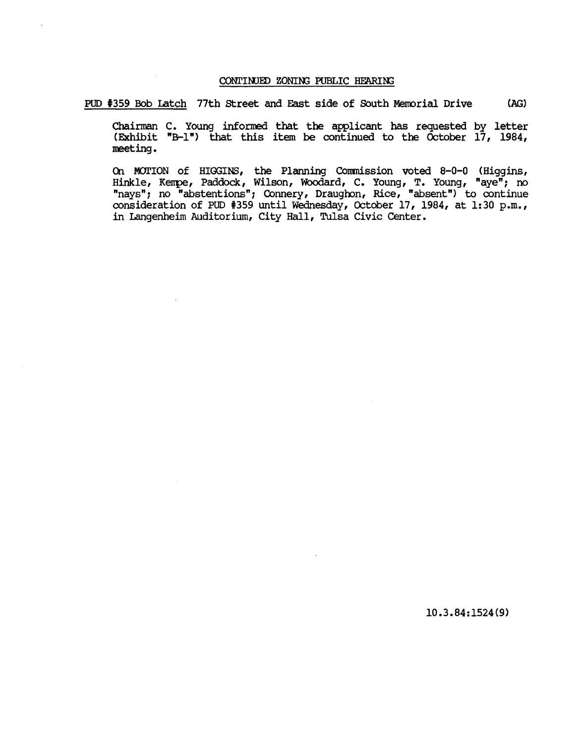## CONTINUED ZONING PUBLIC HEARING

PUD #359 Bob Latch 77th Street and East side of South Memorial Drive (AG)

Chairman C. Young informed that the applicant has requested by letter (Exhibit "B-1") that this item be continued to the October 17, 1984, meeting.

On MOTION of HIGGINS, the Planning Commission voted 8-0-0 (Higgins, Hinkle, Kenpe, Paddock, Wilson, WOOdard, C. Young, T. Young, "ayen; no nays"; no "abstentions"; Connery, Draughon, Rice, "absent") to continue consideration of PUD #359 until Wednesday, October 17, 1984, at 1:30 p.m., in Langenheim Auditorium, City Hall, Tulsa Civic Center.

10.3.84:1524(9)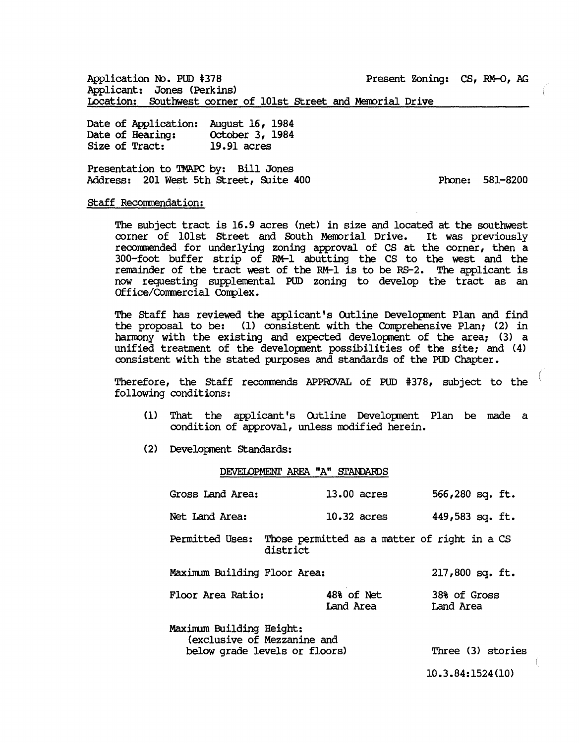Application No. PUD #378 Present Zoning: CS, RM-O, AG Applicant: Jones (Perkins) Location: Southwest corner of 101st Street and Memorial Drive

Date of Application: August 16, 1984<br>Date of Hearing: 0ctober 3, 1984 Date of Hearing: October 3,<br>Size of Tract: 19.91 acres Size of Tract:

Presentation to TMAPC by: Bill Jones Address: 201 West 5th Street, Suite 400

Prone: 581-8200

## staff Recommendation:

The subject tract is 16.9 acres (net) in size and located at the southwest corner of 101st Street and South Memorial Drive. It was previously reconmended for underlying zoning approval of CS at the corner, then a 300-foot buffer strip of RM-l abutting the CS to the west and the remainder of the tract west of the RM-l is to be RS-2. The applicant is now requesting supplemental PUD zoning to develop the tract as an Office/Commercial Complex.

The staff has reviewed the applicant's Outline Development Plan and find the proposal to be: (1) consistent with the Comprehensive Plan; (2) in harmony with the existing and expected development of the area; (3) a unified treatment of the development possibilities of the site; and (4) consistent with the stated purposes and standards of the PUD Chapter.

Therefore, the staff reconmends APPROVAL of PUD 1378, subject to the following conditions:

- (1) That the applicant's Outline Development Plan be made a condition of approval, unless modified herein.
- (2) Development standards:

#### DEVELOPMENI' AREA "A" STANDARDS

| Gross Land Area:                                                                                              | 13.00 acres                                              | $566,280$ sq. ft.         |  |  |
|---------------------------------------------------------------------------------------------------------------|----------------------------------------------------------|---------------------------|--|--|
| Net Land Area:                                                                                                | $10.32$ acres                                            | 449,583 sq. ft.           |  |  |
| Permitted Uses:                                                                                               | Those permitted as a matter of right in a CS<br>district |                           |  |  |
| Maximum Building Floor Area:                                                                                  |                                                          | 217,800 sq. ft.           |  |  |
| Floor Area Ratio:                                                                                             | 48% of Net<br>Land Area                                  | 38% of Gross<br>Land Area |  |  |
| Maximum Building Height:<br>(exclusive of Mezzanine and<br>below grade levels or floors)<br>Three (3) stories |                                                          |                           |  |  |

10.3.84:1524(10)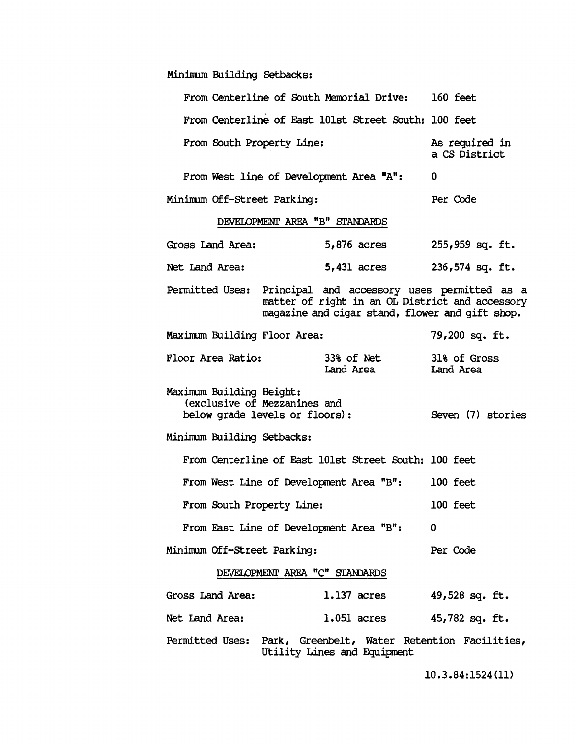Minimum Building Setbacks:

| From Centerline of South Memorial Drive: 160 feet                                                                                                                 |                                      |                  |  |  |
|-------------------------------------------------------------------------------------------------------------------------------------------------------------------|--------------------------------------|------------------|--|--|
| From Centerline of East 101st Street South: 100 feet                                                                                                              |                                      |                  |  |  |
| From South Property Line:                                                                                                                                         | As required in<br>a CS District      |                  |  |  |
| From West line of Development Area "A":                                                                                                                           |                                      | 0                |  |  |
| Minimum Off-Street Parking:                                                                                                                                       | Per Code                             |                  |  |  |
| DEVELOPMENT AREA "B" STANDARDS                                                                                                                                    |                                      |                  |  |  |
| Gross Land Area: $5,876$ acres $255,959$ sq. ft.                                                                                                                  |                                      |                  |  |  |
| Net Land Area:                                                                                                                                                    | 5,431 acres 236,574 sq. ft.          |                  |  |  |
| Permitted Uses: Principal and accessory uses permitted as a<br>matter of right in an OL District and accessory<br>magazine and cigar stand, flower and gift shop. |                                      |                  |  |  |
| Maximum Building Floor Area:                                                                                                                                      |                                      | $79,200$ sq. ft. |  |  |
| Floor Area Ratio:                                                                                                                                                 | 33% of Net 31% of Gross<br>Land Area | Land Area        |  |  |
| Maximum Building Height:<br>(exclusive of Mezzanines and<br>below grade levels or floors):<br>Seven (7) stories                                                   |                                      |                  |  |  |
| Minimum Building Setbacks:                                                                                                                                        |                                      |                  |  |  |
| From Centerline of East 101st Street South: 100 feet                                                                                                              |                                      |                  |  |  |
| From West Line of Development Area "B":                                                                                                                           | 100 feet                             |                  |  |  |
| From South Property Line:                                                                                                                                         | 100 feet                             |                  |  |  |
| From East Line of Development Area "B":                                                                                                                           | 0                                    |                  |  |  |
| Minimum Off-Street Parking:                                                                                                                                       | Per Code                             |                  |  |  |
| DEVELOPMENT AREA "C" STANDARDS                                                                                                                                    |                                      |                  |  |  |
| Gross Land Area:                                                                                                                                                  | <b>1.137 acres</b>                   | 49,528 sq. ft.   |  |  |
| Net Land Area:                                                                                                                                                    | $1.051$ acres                        | 45,782 sq. ft.   |  |  |
| Permitted Uses: Park, Greenbelt, Water Retention Facilities,<br>Utility Lines and Equipment                                                                       |                                      |                  |  |  |

10.3.84:1524(11)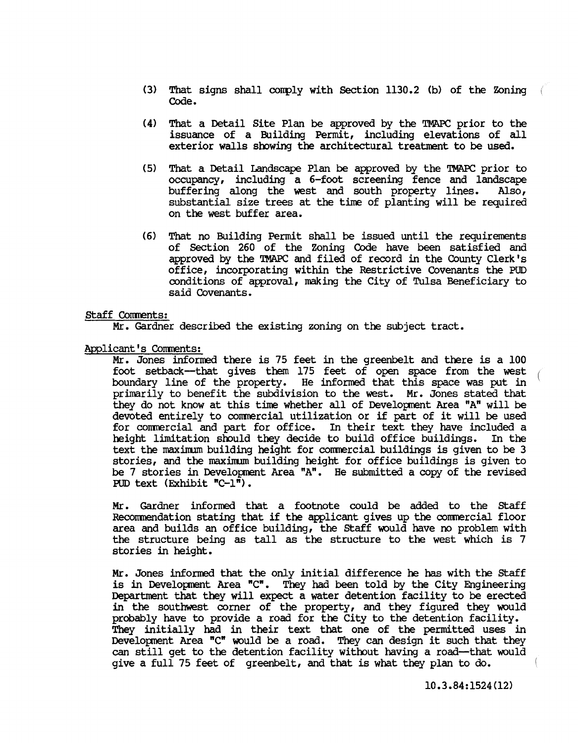- (3) That signs shall conply with Section 1130.2 (b) of the Zoning Code.
- (4) That a Detail Site Plan be approved by the TMAPC prior to the issuance of a Building Permit, including elevations of all exterior walls showing the architectural treatment to be used.
- (5) That a Detail Landscape Plan be approved by the TMAPC prior to occupancy, including a 6-foot screening fence and landscape<br>buffering along the west and south property lines. Also, buffering along the west and south property lines. substantial size trees at the time of planting will be required on the west buffer area.
- (6) That no Building Permit shall be issued until the requirements of Section 260 of the Zoning Code have been satisfied and approved by the TMAPC and filed of record in the County Clerk's office, incorporating within the Restrictive Covenants the POD conditions of approval, making the City of Tulsa Beneficiary to said Covenants.

### Staff Comments:

Mr. Gardner described the existing zoning on the subject tract.

Applicant's Corments:

Mr. Jones infonred there is 75 feet in the greenbelt and there is a 100 foot setback-that gives them 175 feet of open space from the west boundary line of the property. He informed that this space was put in primarily to benefit the subdivision to the west. Mr. Jones stated that they do not know at this time whether all of Development Area "A" will be devoted entirely to commercial utilization or if part of it will be used for commercial and part for office. In their text they have included a height limitation should they decide to build office buildings. In the text the maximum building height for commercial buildings is given to be 3 stories, and the maximum building height for office buildings is given to be 7 stories in Development Area  $n_A$ . He submitted a copy of the revised RID text (Exhibit "C-l").

Mr. Gardner infonred that a footnote could be added to the staff Reconmendation stating that if the applicant gives up the commercial floor area and builds an office building, the staff would have no problem with the structure being as tall as the structure to the west which is 7 stories in height.

Mr. Jones infonred that the only initial difference he has with the staff is in Development Area "C". They had been told by the City Engineering Department that they will expect a water detention facility to be erected in the southwest comer of the property, and they figured they would probably have to provide a road for the City to the detention facility. They initially had in their text that one of the permitted uses in Development Area "C" would be a road. They can design it such that they can still get to the detention facility without having a road--that would give a full 75 feet of greenbelt, and that is what they plan to do.

10.3.84:1524(12)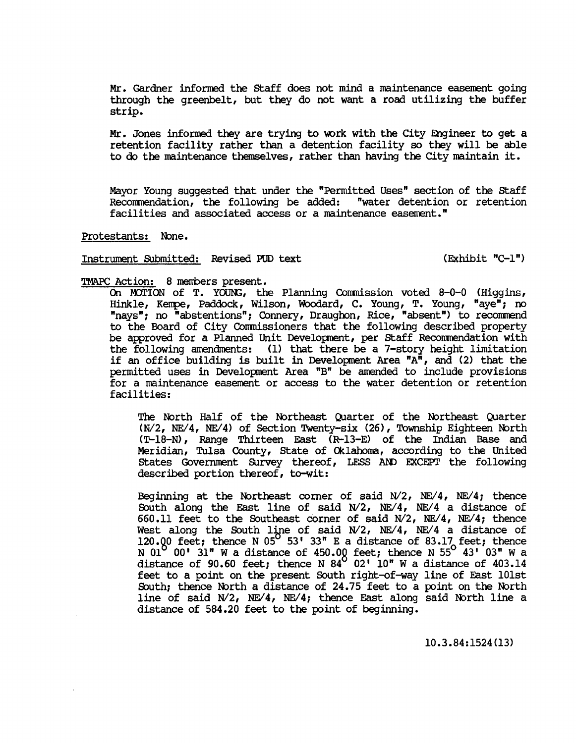Mr. Gardner infonred the staff does not mind a maintenance easenent going through the greenbelt, but they do not want a road utilizing the buffer strip.

Mr. Jones informed they are trying to work with the City Engineer to get a retention facility rather than a detention facility so they will be able to do the maintenance themselves, rather than having the City maintain it.

Mayor Young suggested that under the "Permitted Uses" section of the staff Recorrmendation, the following be added: "water detention or retention facilities and associated access or a maintenance easement."

Protestants: None.

# Instrument Submitted: Revised PUD text (Exhibit "C-l")

### TMAPC Action: 8 members present.

On MOTION of T. YOUNG, the Planning Commission voted 8-0-0 (Higgins, Hinkle, Kerrpe, Paddock, Wilson, WOOdard, C. Young, T. Young, "aye"; no "nays"; no "abstentions"; Connery, Draughon, Rice, "absent") to recommend to the Board of City Commissioners that the following described property be approved for a Planned Unit Development, per staff Recommendation with the following amendments: (1) that there be a 7-story height limitation if an office building is built in Development Area  $^nA^n$ , and (2) that the permitted uses in Development Area "B" be amended to include provisions for a maintenance easement or access to the water detention or retention facilities:

The North Half of the Northeast Quarter of the Northeast Quarter *(N/2, NE/4, NE/4)* of Section Twenty-six (26), Township Eighteen North (T-18-N), Range Thirteen East (R-13-E) of the Indian Base and Meridian, Tulsa County, State of Oklahoma, according to the United States Government Survey thereof, LESS AND EXCEPT the following described portion thereof, to-wit:

Beginning at the Northeast corner of said *N/2*, NE/4, NE/4; thence South along the East line of said N/2, NE/4, NE/4 a distance of 660.11 feet to the Southeast corner of said *Nl2, NEl4, NEl4;* thence West along the South line of said N/2, NE/4, NE/4 a distance of 120.00 feet; thence N 05<sup>0</sup> 53' 33" E a distance of 83.17 feet; thence<br>N 01<sup>0</sup> 00' 31" W a distance of 450.00 feet; thence N 55<sup>0</sup> 43' 03" W a distance of 90.60 feet; thence N  $84^{\circ}$  02' 10" W a distance of 403.14 feet to a point on the present South right-of-way line of East 101st South; thence North a distance of 24.75 feet to a point on the North line of said N/2, NE/4, NE/4; thence East along said North line a distance of 584.20 feet to the point of beginning.

10.3.84:1524(13)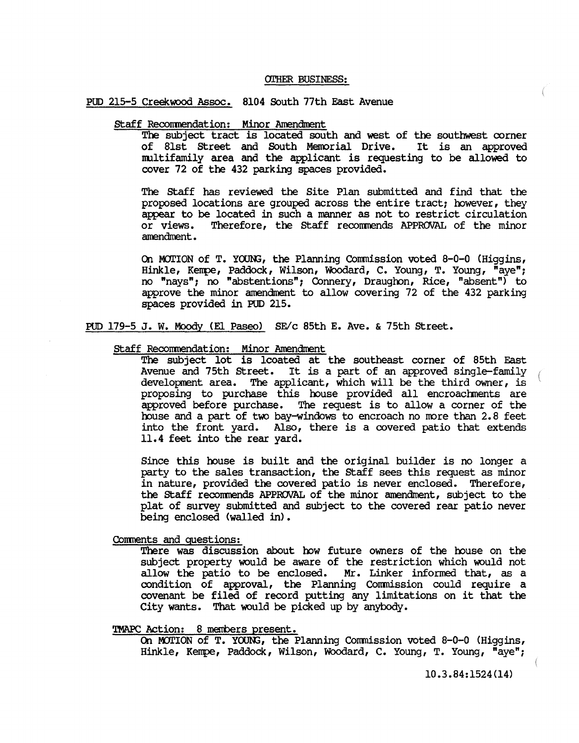### OI'HER BUSINESS:

### POD 215-5 Creekwood Assoc. 8104 South 77th East Avenue

# staff Recomnendation: Minor Anendment

The subject tract is located south and west of the southwest corner of 81st Street and South Memorial Drive. It is an approved of 81st Street and South Memorial Drive. nultifamily area and the applicant is requesting to be allowed to cover 72 of the 432 parking spaces provided.

The staff has reviewed the Site Plan submitted and find that the proposed locations are grouped across the entire tract; however, they appear to be located in such a manner as not to restrict circulation<br>or views. Therefore, the Staff recommends APPROVAL of the minor Therefore, the Staff recommends APPROVAL of the minor amendment.

On MOTION of T. YOUNG, the Planning Commission voted  $8-0-0$  (Higgins, Hinkle, Kerrpe, Paddock, Wilson, Woodard, C. Young, T. Young, "aye" ; no "nays"; no "abstentions"; Connery, Draughon, Rice, "absent") to approve the minor amendment to allow covering 72 of the 432 parking spaces provided in POD 215.

POD 179-5 J. W. Moody (El Paseo) SE/c 85th E. Ave. & 75th street.

### staff Recomnendation: Minor Anendment

The subject lot is lcoated at the southeast corner of 85th East Avenue and 75th street. It is a part of an approved single-family development area. The applicant, which will be the third owner, is proposing to purchase this house provided all encroachments are approved before purchase. The request is to allow a corner of the house and a part of two bay-windows to encroach no more than 2.8 feet into the front yard. Also, there is a covered patio that extends 11.4 feet into the rear yard.

Since this house is built and the original builder is no longer a party to the sales transaction, the staff sees this request as minor in nature, provided the covered patio is never enclosed. Therefore, the staff recomnends APPROVAL of the minor amendment, subject to the plat of survey submitted and subject to the covered rear patio never being enclosed (walled in).

Comnents and questions:

There was discussion about how future owners of the house on the subject property would be aware of the restriction which would not allow the patio to be enclosed. Mr. Linker informed that, as a condition of approval, the Planning Conmission could require a covenant be filed of record putting any limitations on it that the City wants. That would be picked up by anybody.

## TMAPC Action: 8 members present.

On MOTION of T. YOUNG, the Planning Commission voted 8-0-0 (Higgins, Hinkle, Kempe, Paddock, Wilson, Woodard, C. Young, T. Young, "aye";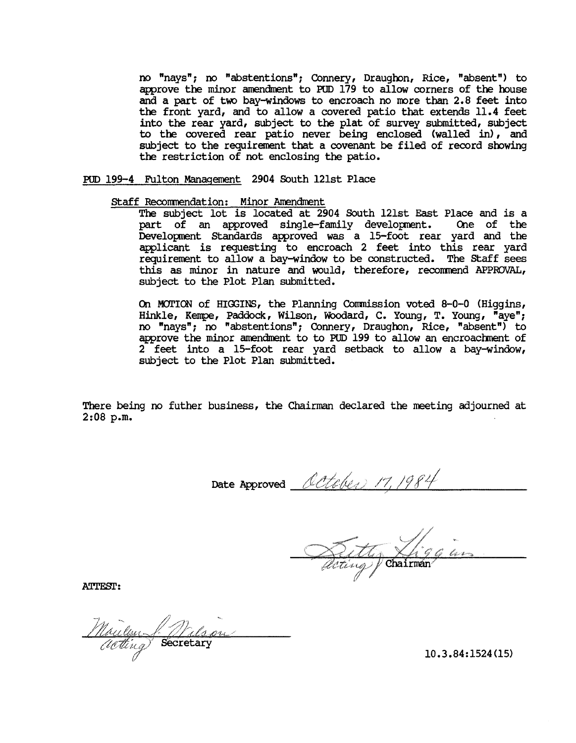no "nays"; no "abstentions"; Connery, Draughon, Rice, "absent") to approve the minor amendment to PUD 179 to allow corners of the house and a part of two bay-windows to encroach no more than 2.8 feet into the front yard, and to allow a covered patio that extends 11.4 feet into the rear yard, subject to the plat of survey submitted, subject to the covered rear patio never being enclosed (walled in), and subject to the requirement that a covenant be filed of record showing the restriction of not enclosing the patio.

POD 199-4 Fulton Management 2904 South 121st Place

staff Reconmendation: Minor Anendment

The subject lot is located at 2904 South 121st East Place and is a part of an approved single-family development. One of the Development Standards approved was a 15-foot rear yard and the applicant is requesting to encroach 2 feet into this rear yard requirement to allow a bay-window to be constructed. The staff sees this as minor in nature and would, therefore, reconmend APPROVAL, subject to the Plot Plan submitted.

On MOTION of HIGGINS, the Planning Commission voted 8-0-0 (Higgins, Hinkle, Kempe, Paddock, Wilson, Woodard, C. Young, T. Young, "aye"; no "nays"; no "abstentions"; Connery, Draughon, Rice, "absent") to approve the minor amendment to to PUD 199 to allow an encroachment of 2 feet into a IS-foot rear yard setback to allow a bay-window, subject to the Plot Plan submitted.

There being no futher business, the Chairman declared the meeting adjourned at 2:08 p.m.

Date Approved October 17,

ally Chairmán

ATTEST:

Moulen J. Malsa

10.3.84:1524(15)